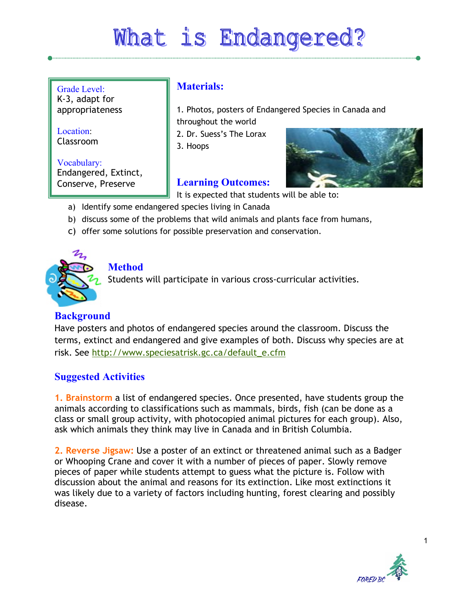# What is Endangered?

Grade Level: K-3, adapt for appropriateness

Location: Classroom

Vocabulary: Endangered, Extinct, Conserve, Preserve

## **Materials:**

1. Photos, posters of Endangered Species in Canada and throughout the world

2. Dr. Suess's The Lorax

3. Hoops

## **Learning Outcomes:**

It is expected that students will be able to:

- a) Identify some endangered species living in Canada
- b) discuss some of the problems that wild animals and plants face from humans,
- c) offer some solutions for possible preservation and conservation.



## **Method**

Students will participate in various cross-curricular activities.

### **Background**

Have posters and photos of endangered species around the classroom. Discuss the terms, extinct and endangered and give examples of both. Discuss why species are at risk. See [http://www.speciesatrisk.gc.ca/default\\_e.cfm](http://www.speciesatrisk.gc.ca/default_e.cfm)

### **Suggested Activities**

**1. Brainstorm** a list of endangered species. Once presented, have students group the animals according to classifications such as mammals, birds, fish (can be done as a class or small group activity, with photocopied animal pictures for each group). Also, ask which animals they think may live in Canada and in British Columbia.

**2. Reverse Jigsaw:** Use a poster of an extinct or threatened animal such as a Badger or Whooping Crane and cover it with a number of pieces of paper. Slowly remove pieces of paper while students attempt to guess what the picture is. Follow with discussion about the animal and reasons for its extinction. Like most extinctions it was likely due to a variety of factors including hunting, forest clearing and possibly disease.

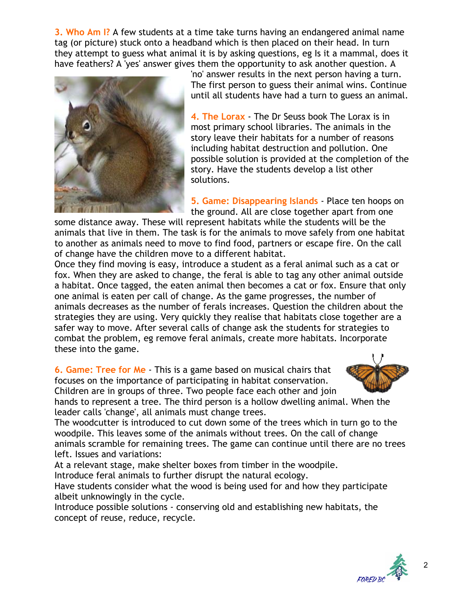**3. Who Am I?** A few students at a time take turns having an endangered animal name tag (or picture) stuck onto a headband which is then placed on their head. In turn they attempt to guess what animal it is by asking questions, eg Is it a mammal, does it have feathers? A 'yes' answer gives them the opportunity to ask another question. A



'no' answer results in the next person having a turn. The first person to guess their animal wins. Continue until all students have had a turn to guess an animal.

**4. The Lorax** - The Dr Seuss book The Lorax is in most primary school libraries. The animals in the story leave their habitats for a number of reasons including habitat destruction and pollution. One possible solution is provided at the completion of the story. Have the students develop a list other solutions.

**5. Game: Disappearing Islands** - Place ten hoops on the ground. All are close together apart from one

some distance away. These will represent habitats while the students will be the animals that live in them. The task is for the animals to move safely from one habitat to another as animals need to move to find food, partners or escape fire. On the call of change have the children move to a different habitat.

Once they find moving is easy, introduce a student as a feral animal such as a cat or fox. When they are asked to change, the feral is able to tag any other animal outside a habitat. Once tagged, the eaten animal then becomes a cat or fox. Ensure that only one animal is eaten per call of change. As the game progresses, the number of animals decreases as the number of ferals increases. Question the children about the strategies they are using. Very quickly they realise that habitats close together are a safer way to move. After several calls of change ask the students for strategies to combat the problem, eg remove feral animals, create more habitats. Incorporate these into the game.

**6. Game: Tree for Me** - This is a game based on musical chairs that focuses on the importance of participating in habitat conservation. Children are in groups of three. Two people face each other and join



hands to represent a tree. The third person is a hollow dwelling animal. When the leader calls 'change', all animals must change trees.

The woodcutter is introduced to cut down some of the trees which in turn go to the woodpile. This leaves some of the animals without trees. On the call of change animals scramble for remaining trees. The game can continue until there are no trees left. Issues and variations:

At a relevant stage, make shelter boxes from timber in the woodpile.

Introduce feral animals to further disrupt the natural ecology.

Have students consider what the wood is being used for and how they participate albeit unknowingly in the cycle.

Introduce possible solutions - conserving old and establishing new habitats, the concept of reuse, reduce, recycle.

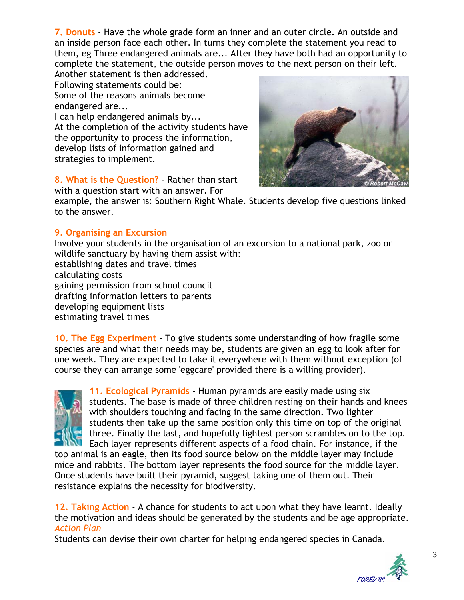**7. Donuts** - Have the whole grade form an inner and an outer circle. An outside and an inside person face each other. In turns they complete the statement you read to them, eg Three endangered animals are... After they have both had an opportunity to complete the statement, the outside person moves to the next person on their left.

Another statement is then addressed. Following statements could be: Some of the reasons animals become endangered are...

I can help endangered animals by... At the completion of the activity students have the opportunity to process the information, develop lists of information gained and strategies to implement.

**8. What is the Question?** - Rather than start

with a question start with an answer. For

example, the answer is: Southern Right Whale. Students develop five questions linked to the answer.

#### **9. Organising an Excursion**

Involve your students in the organisation of an excursion to a national park, zoo or wildlife sanctuary by having them assist with: establishing dates and travel times calculating costs gaining permission from school council drafting information letters to parents developing equipment lists estimating travel times

**10. The Egg Experiment** - To give students some understanding of how fragile some species are and what their needs may be, students are given an egg to look after for one week. They are expected to take it everywhere with them without exception (of course they can arrange some 'eggcare' provided there is a willing provider).



**11. Ecological Pyramids** - Human pyramids are easily made using six students. The base is made of three children resting on their hands and knees with shoulders touching and facing in the same direction. Two lighter students then take up the same position only this time on top of the original three. Finally the last, and hopefully lightest person scrambles on to the top. Each layer represents different aspects of a food chain. For instance, if the

top animal is an eagle, then its food source below on the middle layer may include mice and rabbits. The bottom layer represents the food source for the middle layer. Once students have built their pyramid, suggest taking one of them out. Their resistance explains the necessity for biodiversity.

**12. Taking Action** - A chance for students to act upon what they have learnt. Ideally the motivation and ideas should be generated by the students and be age appropriate. *Action Plan*

Students can devise their own charter for helping endangered species in Canada.